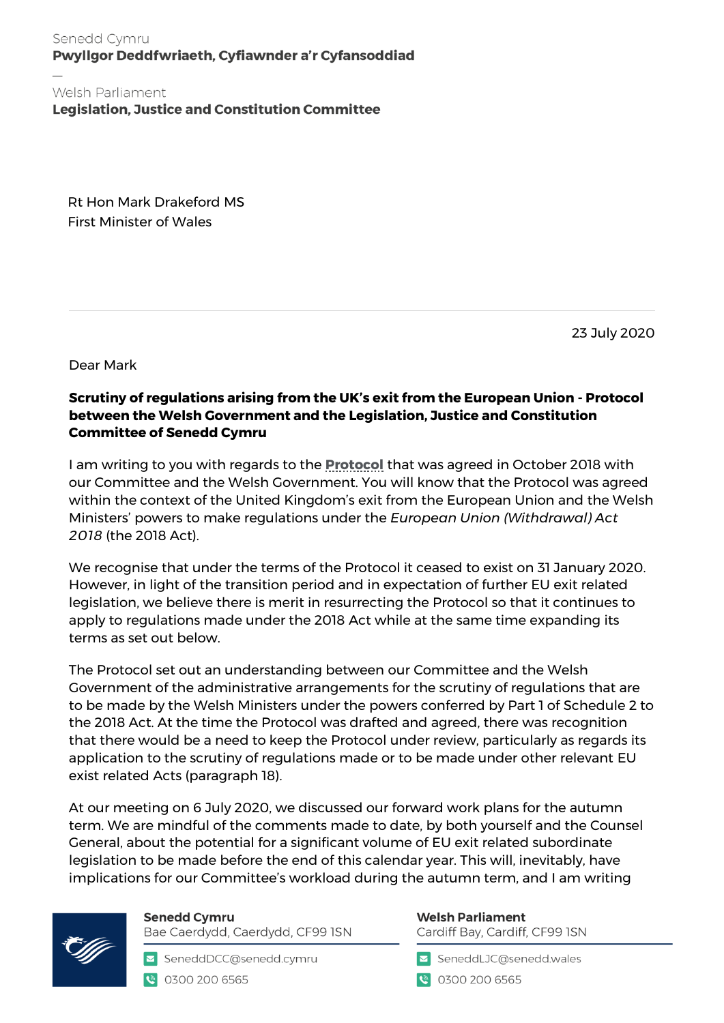Senedd Cymru Pwyllgor Deddfwriaeth, Cyfiawnder a'r Cyfansoddiad

Welsh Parliament **Legislation, Justice and Constitution Committee** 

Rt Hon Mark Drakeford MS First Minister of Wales

23 July 2020

Dear Mark

## **Scrutiny of regulations arising from the UK's exit from the European Union - Protocol between the Welsh Government and the Legislation, Justice and Constitution Committee of Senedd Cymru**

I am writing to you with regards to the **[Protocol](https://business.senedd.wales/documents/s80117/Protocol%20-%20October%202018.pdf)** that was agreed in October 2018 with our Committee and the Welsh Government. You will know that the Protocol was agreed within the context of the United Kingdom's exit from the European Union and the Welsh Ministers' powers to make regulations under the *European Union (Withdrawal) Act 2018* (the 2018 Act).

We recognise that under the terms of the Protocol it ceased to exist on 31 January 2020. However, in light of the transition period and in expectation of further EU exit related legislation, we believe there is merit in resurrecting the Protocol so that it continues to apply to regulations made under the 2018 Act while at the same time expanding its terms as set out below.

The Protocol set out an understanding between our Committee and the Welsh Government of the administrative arrangements for the scrutiny of regulations that are to be made by the Welsh Ministers under the powers conferred by Part 1 of Schedule 2 to the 2018 Act. At the time the Protocol was drafted and agreed, there was recognition that there would be a need to keep the Protocol under review, particularly as regards its application to the scrutiny of regulations made or to be made under other relevant EU exist related Acts (paragraph 18).

At our meeting on 6 July 2020, we discussed our forward work plans for the autumn term. We are mindful of the comments made to date, by both yourself and the Counsel General, about the potential for a significant volume of EU exit related subordinate legislation to be made before the end of this calendar year. This will, inevitably, have implications for our Committee's workload during the autumn term, and I am writing



**Senedd Cymru** Bae Caerdydd, Caerdydd, CF99 ISN

SeneddDCC@senedd.cymru € 0300 200 6565

## **Welsh Parliament**

Cardiff Bay, Cardiff, CF99 ISN

SeneddLJC@senedd.wales

● 0300 200 6565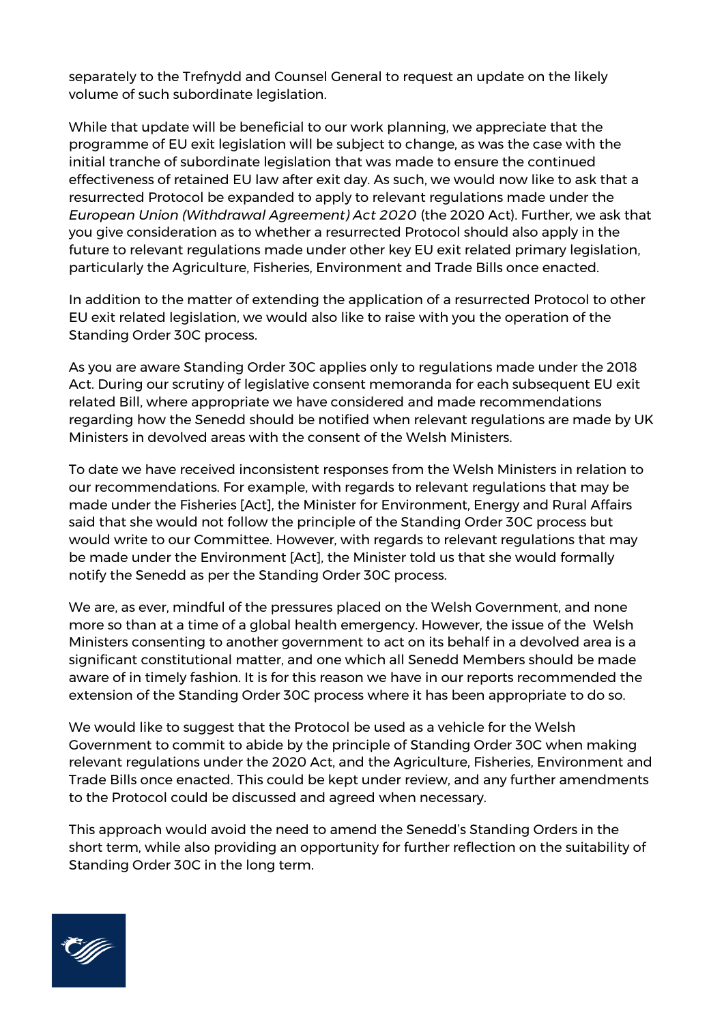separately to the Trefnydd and Counsel General to request an update on the likely volume of such subordinate legislation.

While that update will be beneficial to our work planning, we appreciate that the programme of EU exit legislation will be subject to change, as was the case with the initial tranche of subordinate legislation that was made to ensure the continued effectiveness of retained EU law after exit day. As such, we would now like to ask that a resurrected Protocol be expanded to apply to relevant regulations made under the *European Union (Withdrawal Agreement) Act 2020* (the 2020 Act). Further, we ask that you give consideration as to whether a resurrected Protocol should also apply in the future to relevant regulations made under other key EU exit related primary legislation, particularly the Agriculture, Fisheries, Environment and Trade Bills once enacted.

In addition to the matter of extending the application of a resurrected Protocol to other EU exit related legislation, we would also like to raise with you the operation of the Standing Order 30C process.

As you are aware Standing Order 30C applies only to regulations made under the 2018 Act. During our scrutiny of legislative consent memoranda for each subsequent EU exit related Bill, where appropriate we have considered and made recommendations regarding how the Senedd should be notified when relevant regulations are made by UK Ministers in devolved areas with the consent of the Welsh Ministers.

To date we have received inconsistent responses from the Welsh Ministers in relation to our recommendations. For example, with regards to relevant regulations that may be made under the Fisheries [Act], the Minister for Environment, Energy and Rural Affairs said that she would not follow the principle of the Standing Order 30C process but would write to our Committee. However, with regards to relevant regulations that may be made under the Environment [Act], the Minister told us that she would formally notify the Senedd as per the Standing Order 30C process.

We are, as ever, mindful of the pressures placed on the Welsh Government, and none more so than at a time of a global health emergency. However, the issue of the Welsh Ministers consenting to another government to act on its behalf in a devolved area is a significant constitutional matter, and one which all Senedd Members should be made aware of in timely fashion. It is for this reason we have in our reports recommended the extension of the Standing Order 30C process where it has been appropriate to do so.

We would like to suggest that the Protocol be used as a vehicle for the Welsh Government to commit to abide by the principle of Standing Order 30C when making relevant regulations under the 2020 Act, and the Agriculture, Fisheries, Environment and Trade Bills once enacted. This could be kept under review, and any further amendments to the Protocol could be discussed and agreed when necessary.

This approach would avoid the need to amend the Senedd's Standing Orders in the short term, while also providing an opportunity for further reflection on the suitability of Standing Order 30C in the long term.